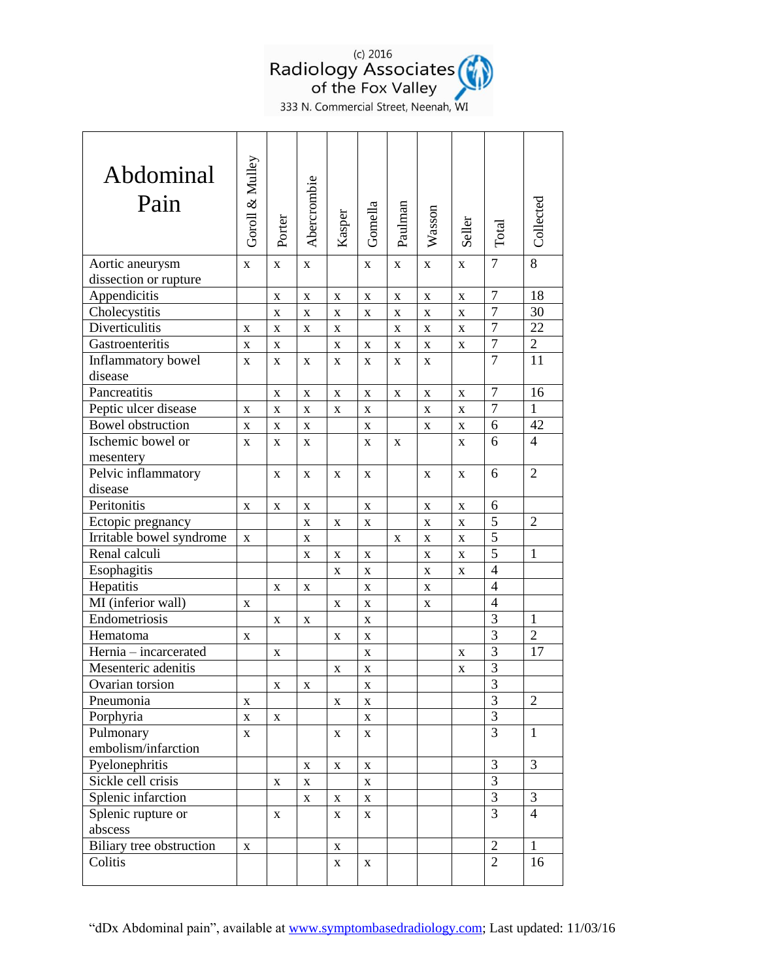

333 N. Commercial Street, Neenah, WI

| Abdominal<br>Pain        | Goroll & Mulley | Porter      | Abercrombie | Kasper      | Gomella      | Paulman      | Wasson       | Seller       | Total          | Collected      |
|--------------------------|-----------------|-------------|-------------|-------------|--------------|--------------|--------------|--------------|----------------|----------------|
| Aortic aneurysm          | $\mathbf{X}$    | X           | X           |             | X            | $\mathbf{X}$ | X            | $\mathbf{X}$ | 7              | 8              |
| dissection or rupture    |                 |             |             |             |              |              |              |              |                |                |
| Appendicitis             |                 | $\mathbf X$ | X           | X           | $\mathbf X$  | X            | X            | $\mathbf X$  | $\overline{7}$ | 18             |
| Cholecystitis            |                 | $\mathbf X$ | X           | X           | $\mathbf X$  | X            | X            | X            | $\overline{7}$ | 30             |
| Diverticulitis           | X               | X           | X           | X           |              | X            | X            | X            | $\overline{7}$ | 22             |
| Gastroenteritis          | X               | X           |             | X           | X            | $\mathbf X$  | X            | X            | $\overline{7}$ | $\overline{2}$ |
| Inflammatory bowel       | X               | X           | X           | X           | X            | X            | X            |              | $\overline{7}$ | 11             |
| disease                  |                 |             |             |             |              |              |              |              |                |                |
| Pancreatitis             |                 | X           | $\mathbf X$ | $\mathbf X$ | X            | X            | $\mathbf X$  | $\mathbf X$  | $\overline{7}$ | 16             |
| Peptic ulcer disease     | $\mathbf{X}$    | $\mathbf X$ | $\mathbf X$ | X           | X            |              | $\mathbf{X}$ | $\mathbf X$  | $\overline{7}$ | $\mathbf{1}$   |
| <b>Bowel</b> obstruction | $\mathbf X$     | $\mathbf X$ | X           |             | $\mathbf X$  |              | $\mathbf X$  | $\mathbf X$  | 6              | 42             |
| Ischemic bowel or        | X               | X           | X           |             | X            | X            |              | $\mathbf{X}$ | 6              | $\overline{4}$ |
| mesentery                |                 |             |             |             |              |              |              |              |                |                |
| Pelvic inflammatory      |                 | X           | X           | X           | X            |              | $\mathbf X$  | $\mathbf{X}$ | 6              | $\overline{2}$ |
| disease                  |                 |             |             |             |              |              |              |              |                |                |
| Peritonitis              | $\mathbf X$     | $\mathbf X$ | X           |             | $\mathbf X$  |              | $\mathbf X$  | $\mathbf X$  | 6              |                |
| Ectopic pregnancy        |                 |             | X           | X           | X            |              | X            | $\mathbf X$  | 5              | $\overline{2}$ |
| Irritable bowel syndrome | X               |             | X           |             |              | X            | X            | X            | 5              |                |
| Renal calculi            |                 |             | X           | $\mathbf X$ | $\mathbf X$  |              | $\mathbf X$  | $\mathbf X$  | $\overline{5}$ | 1              |
| Esophagitis              |                 |             |             | X           | $\mathbf{X}$ |              | $\mathbf X$  | X            | $\overline{4}$ |                |
| Hepatitis                |                 | $\mathbf X$ | X           |             | X            |              | $\mathbf X$  |              | $\overline{4}$ |                |
| MI (inferior wall)       | X               |             |             | X           | X            |              | X            |              | $\overline{4}$ |                |
| Endometriosis            |                 | X           | X           |             | X            |              |              |              | 3              | $\mathbf{1}$   |
| Hematoma                 | $\mathbf X$     |             |             | X           | X            |              |              |              | 3              | $\overline{2}$ |
| Hernia - incarcerated    |                 | X           |             |             | $\mathbf X$  |              |              | X            | 3              | 17             |
| Mesenteric adenitis      |                 |             |             | X           | X            |              |              | X            | 3              |                |
| Ovarian torsion          |                 | X           | $\mathbf X$ |             | $\mathbf X$  |              |              |              | $\overline{3}$ |                |
| Pneumonia                | $\mathbf X$     |             |             | $\mathbf X$ | $\mathbf X$  |              |              |              | 3              | $\overline{2}$ |
| Porphyria                | $\mathbf X$     | $\mathbf X$ |             |             | $\mathbf X$  |              |              |              | $\overline{3}$ |                |
| Pulmonary                | $\mathbf X$     |             |             | $\mathbf X$ | X            |              |              |              | 3              | 1              |
| embolism/infarction      |                 |             |             |             |              |              |              |              |                |                |
| Pyelonephritis           |                 |             | $\mathbf X$ | $\mathbf X$ | $\mathbf X$  |              |              |              | 3              | 3              |
| Sickle cell crisis       |                 | X           | $\mathbf X$ |             | $\mathbf X$  |              |              |              | $\overline{3}$ |                |
| Splenic infarction       |                 |             | $\mathbf X$ | $\mathbf X$ | $\mathbf X$  |              |              |              | $\overline{3}$ | 3              |
| Splenic rupture or       |                 | X           |             | X           | X            |              |              |              | 3              | $\overline{4}$ |
| abscess                  |                 |             |             |             |              |              |              |              |                |                |
| Biliary tree obstruction | $\mathbf X$     |             |             | $\mathbf X$ |              |              |              |              | $\overline{2}$ | $\mathbf{1}$   |
| Colitis                  |                 |             |             | X           | X            |              |              |              | $\overline{2}$ | 16             |
|                          |                 |             |             |             |              |              |              |              |                |                |

"dDx Abdominal pain", available at [www.symptombasedradiology.com;](http://www.symptombasedradiology.com/) Last updated: 11/03/16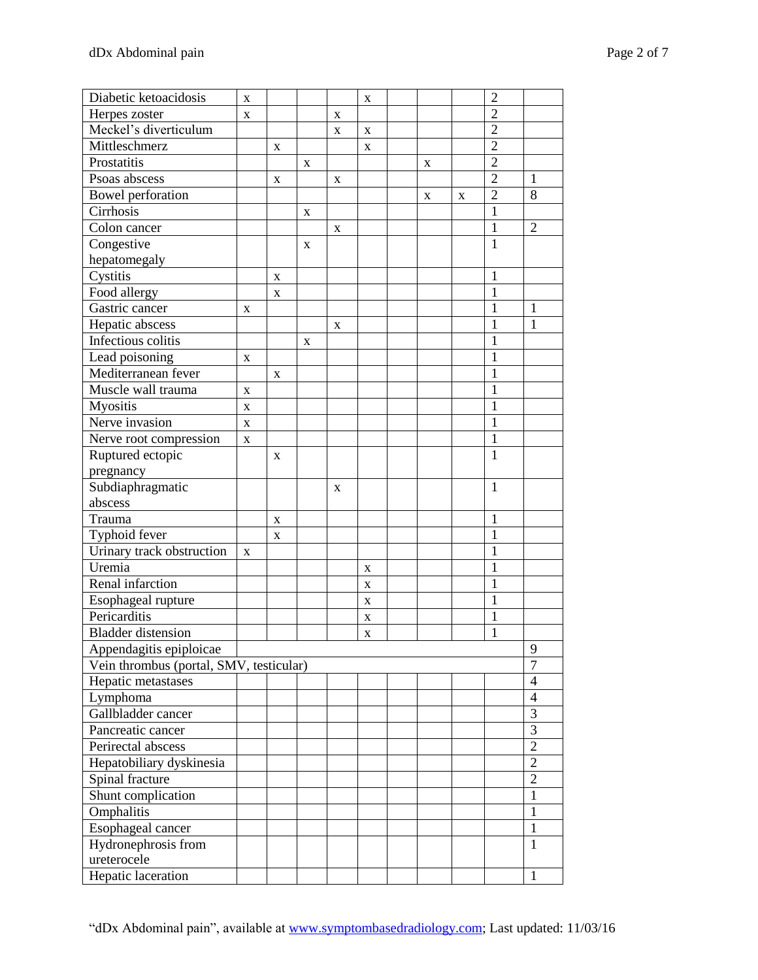| Diabetic ketoacidosis                   | X           |             |   |             | X |   |   | $\overline{2}$ |                          |
|-----------------------------------------|-------------|-------------|---|-------------|---|---|---|----------------|--------------------------|
| Herpes zoster                           | X           |             |   | X           |   |   |   | $\overline{2}$ |                          |
| Meckel's diverticulum                   |             |             |   | X           | X |   |   | $\overline{2}$ |                          |
| Mittleschmerz                           |             | X           |   |             | X |   |   | $\overline{2}$ |                          |
| Prostatitis                             |             |             | X |             |   | X |   | $\overline{2}$ |                          |
| Psoas abscess                           |             | X           |   | X           |   |   |   | $\overline{2}$ | 1                        |
| Bowel perforation                       |             |             |   |             |   | X | X | $\overline{2}$ | 8                        |
| Cirrhosis                               |             |             | X |             |   |   |   | 1              |                          |
| Colon cancer                            |             |             |   | X           |   |   |   | $\mathbf{1}$   | $\overline{2}$           |
| Congestive                              |             |             | X |             |   |   |   | 1              |                          |
| hepatomegaly                            |             |             |   |             |   |   |   |                |                          |
| Cystitis                                |             | $\mathbf X$ |   |             |   |   |   | 1              |                          |
| Food allergy                            |             | X           |   |             |   |   |   | 1              |                          |
| Gastric cancer                          | X           |             |   |             |   |   |   | 1              | $\mathbf{1}$             |
| Hepatic abscess                         |             |             |   | X           |   |   |   | 1              | 1                        |
| Infectious colitis                      |             |             | X |             |   |   |   | 1              |                          |
| Lead poisoning                          | X           |             |   |             |   |   |   | 1              |                          |
| Mediterranean fever                     |             | X           |   |             |   |   |   | 1              |                          |
| Muscle wall trauma                      | X           |             |   |             |   |   |   | 1              |                          |
| <b>Myositis</b>                         | X           |             |   |             |   |   |   | 1              |                          |
| Nerve invasion                          | $\mathbf X$ |             |   |             |   |   |   | 1              |                          |
| Nerve root compression                  | X           |             |   |             |   |   |   | 1              |                          |
| Ruptured ectopic                        |             | X           |   |             |   |   |   | 1              |                          |
| pregnancy                               |             |             |   |             |   |   |   |                |                          |
| Subdiaphragmatic                        |             |             |   | $\mathbf X$ |   |   |   | 1              |                          |
| abscess                                 |             |             |   |             |   |   |   |                |                          |
| Trauma                                  |             | X           |   |             |   |   |   | 1              |                          |
| Typhoid fever                           |             | X           |   |             |   |   |   | 1              |                          |
| Urinary track obstruction               | $\mathbf X$ |             |   |             |   |   |   | 1              |                          |
| Uremia                                  |             |             |   |             | X |   |   | 1              |                          |
| Renal infarction                        |             |             |   |             | X |   |   | 1              |                          |
| Esophageal rupture                      |             |             |   |             | X |   |   | 1              |                          |
| Pericarditis                            |             |             |   |             | X |   |   | 1              |                          |
| <b>Bladder</b> distension               |             |             |   |             | X |   |   | 1              |                          |
| Appendagitis epiploicae                 |             |             |   |             |   |   |   |                | 9                        |
| Vein thrombus (portal, SMV, testicular) |             |             |   |             |   |   |   |                | $\overline{7}$           |
| Hepatic metastases                      |             |             |   |             |   |   |   |                | $\overline{4}$           |
| Lymphoma                                |             |             |   |             |   |   |   |                | $\overline{\mathcal{A}}$ |
| Gallbladder cancer                      |             |             |   |             |   |   |   |                | 3                        |
| Pancreatic cancer                       |             |             |   |             |   |   |   |                | 3                        |
| Perirectal abscess                      |             |             |   |             |   |   |   |                | $\overline{2}$           |
| Hepatobiliary dyskinesia                |             |             |   |             |   |   |   |                | $\overline{2}$           |
| Spinal fracture                         |             |             |   |             |   |   |   |                | $\overline{2}$           |
| Shunt complication                      |             |             |   |             |   |   |   |                | $\mathbf{1}$             |
| Omphalitis                              |             |             |   |             |   |   |   |                | 1                        |
| Esophageal cancer                       |             |             |   |             |   |   |   |                | $\mathbf{1}$             |
| Hydronephrosis from                     |             |             |   |             |   |   |   |                | $\mathbf{1}$             |
| ureterocele                             |             |             |   |             |   |   |   |                |                          |
| Hepatic laceration                      |             |             |   |             |   |   |   |                | $\mathbf{1}$             |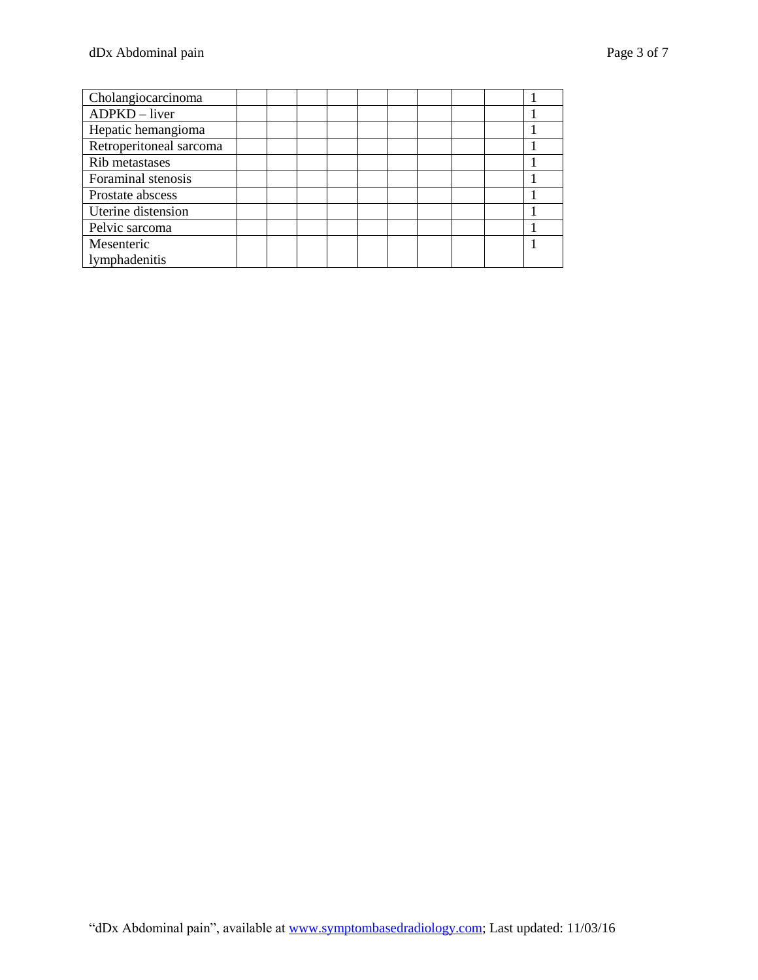| Cholangiocarcinoma      |  |  |  |  |  |  |
|-------------------------|--|--|--|--|--|--|
| $ADPKD$ – liver         |  |  |  |  |  |  |
| Hepatic hemangioma      |  |  |  |  |  |  |
| Retroperitoneal sarcoma |  |  |  |  |  |  |
| Rib metastases          |  |  |  |  |  |  |
| Foraminal stenosis      |  |  |  |  |  |  |
| Prostate abscess        |  |  |  |  |  |  |
| Uterine distension      |  |  |  |  |  |  |
| Pelvic sarcoma          |  |  |  |  |  |  |
| Mesenteric              |  |  |  |  |  |  |
| lymphadenitis           |  |  |  |  |  |  |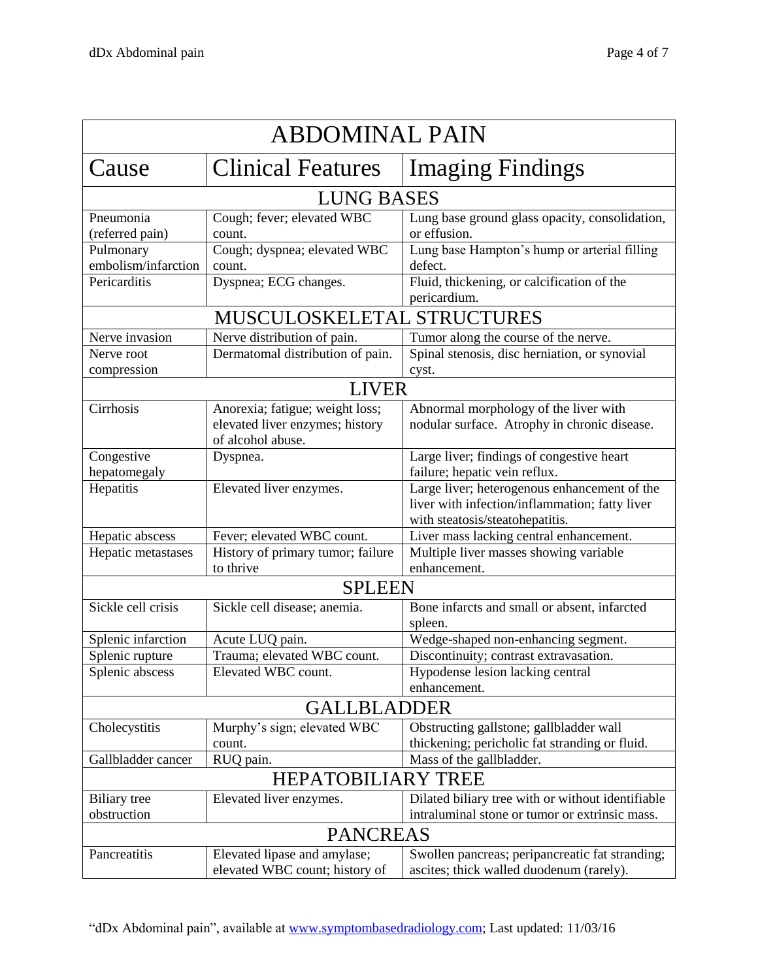| <b>ABDOMINAL PAIN</b>            |                                                                                         |                                                                                                                                   |  |  |  |  |  |
|----------------------------------|-----------------------------------------------------------------------------------------|-----------------------------------------------------------------------------------------------------------------------------------|--|--|--|--|--|
| Cause                            | <b>Clinical Features</b>                                                                | <b>Imaging Findings</b>                                                                                                           |  |  |  |  |  |
| <b>LUNG BASES</b>                |                                                                                         |                                                                                                                                   |  |  |  |  |  |
| Pneumonia<br>(referred pain)     | Cough; fever; elevated WBC<br>count.                                                    | Lung base ground glass opacity, consolidation,<br>or effusion.                                                                    |  |  |  |  |  |
| Pulmonary<br>embolism/infarction | Cough; dyspnea; elevated WBC<br>count.                                                  | Lung base Hampton's hump or arterial filling<br>defect.                                                                           |  |  |  |  |  |
| Pericarditis                     | Dyspnea; ECG changes.                                                                   | Fluid, thickening, or calcification of the<br>pericardium.                                                                        |  |  |  |  |  |
| MUSCULOSKELETAL STRUCTURES       |                                                                                         |                                                                                                                                   |  |  |  |  |  |
| Nerve invasion                   | Nerve distribution of pain.                                                             | Tumor along the course of the nerve.                                                                                              |  |  |  |  |  |
| Nerve root<br>compression        | Dermatomal distribution of pain.                                                        | Spinal stenosis, disc herniation, or synovial<br>cyst.                                                                            |  |  |  |  |  |
| <b>LIVER</b>                     |                                                                                         |                                                                                                                                   |  |  |  |  |  |
| Cirrhosis                        | Anorexia; fatigue; weight loss;<br>elevated liver enzymes; history<br>of alcohol abuse. | Abnormal morphology of the liver with<br>nodular surface. Atrophy in chronic disease.                                             |  |  |  |  |  |
| Congestive                       | Dyspnea.                                                                                | Large liver; findings of congestive heart                                                                                         |  |  |  |  |  |
| hepatomegaly                     |                                                                                         | failure; hepatic vein reflux.                                                                                                     |  |  |  |  |  |
| Hepatitis                        | Elevated liver enzymes.                                                                 | Large liver; heterogenous enhancement of the<br>liver with infection/inflammation; fatty liver<br>with steatosis/steatohepatitis. |  |  |  |  |  |
| Hepatic abscess                  | Fever; elevated WBC count.                                                              | Liver mass lacking central enhancement.                                                                                           |  |  |  |  |  |
| Hepatic metastases               | History of primary tumor; failure<br>to thrive                                          | Multiple liver masses showing variable<br>enhancement.                                                                            |  |  |  |  |  |
|                                  | <b>SPLEEN</b>                                                                           |                                                                                                                                   |  |  |  |  |  |
| Sickle cell crisis               | Sickle cell disease; anemia.                                                            | Bone infarcts and small or absent, infarcted<br>spleen.                                                                           |  |  |  |  |  |
| Splenic infarction               | Acute LUQ pain.                                                                         | Wedge-shaped non-enhancing segment.                                                                                               |  |  |  |  |  |
| Splenic rupture                  | Trauma; elevated WBC count.                                                             | Discontinuity; contrast extravasation.                                                                                            |  |  |  |  |  |
| Splenic abscess                  | Elevated WBC count.                                                                     | Hypodense lesion lacking central<br>enhancement.                                                                                  |  |  |  |  |  |
| <b>GALLBLADDER</b>               |                                                                                         |                                                                                                                                   |  |  |  |  |  |
| Cholecystitis                    | Murphy's sign; elevated WBC<br>count.                                                   | Obstructing gallstone; gallbladder wall<br>thickening; pericholic fat stranding or fluid.                                         |  |  |  |  |  |
| Gallbladder cancer               | RUQ pain.                                                                               | Mass of the gallbladder.                                                                                                          |  |  |  |  |  |
| <b>HEPATOBILIARY TREE</b>        |                                                                                         |                                                                                                                                   |  |  |  |  |  |
| <b>Biliary</b> tree              | Elevated liver enzymes.                                                                 | Dilated biliary tree with or without identifiable                                                                                 |  |  |  |  |  |
| obstruction                      |                                                                                         | intraluminal stone or tumor or extrinsic mass.                                                                                    |  |  |  |  |  |
| <b>PANCREAS</b>                  |                                                                                         |                                                                                                                                   |  |  |  |  |  |
| Pancreatitis                     | Elevated lipase and amylase;<br>elevated WBC count; history of                          | Swollen pancreas; peripancreatic fat stranding;<br>ascites; thick walled duodenum (rarely).                                       |  |  |  |  |  |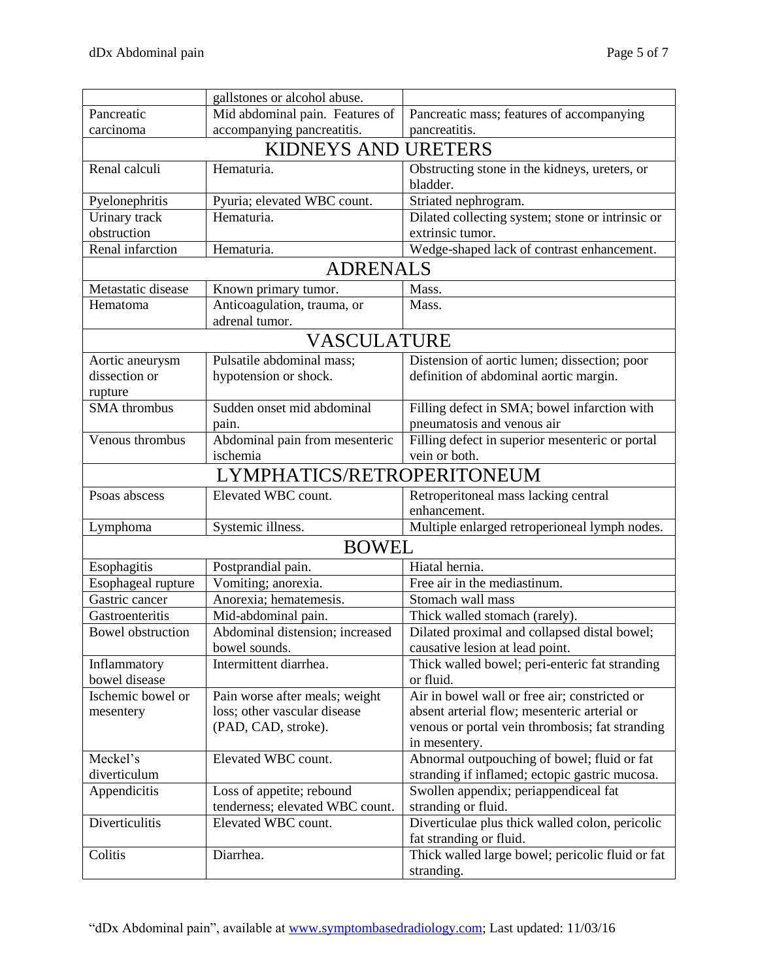|                            | gallstones or alcohol abuse.    |                                                  |  |  |  |  |  |
|----------------------------|---------------------------------|--------------------------------------------------|--|--|--|--|--|
| Pancreatic                 | Mid abdominal pain. Features of | Pancreatic mass; features of accompanying        |  |  |  |  |  |
| carcinoma                  | accompanying pancreatitis.      | pancreatitis.                                    |  |  |  |  |  |
| <b>KIDNEYS AND URETERS</b> |                                 |                                                  |  |  |  |  |  |
| Renal calculi              | Hematuria.                      | Obstructing stone in the kidneys, ureters, or    |  |  |  |  |  |
|                            |                                 | bladder.                                         |  |  |  |  |  |
| Pyelonephritis             | Pyuria; elevated WBC count.     | Striated nephrogram.                             |  |  |  |  |  |
| Urinary track              | Hematuria.                      | Dilated collecting system; stone or intrinsic or |  |  |  |  |  |
| obstruction                |                                 | extrinsic tumor.                                 |  |  |  |  |  |
| Renal infarction           | Hematuria.                      | Wedge-shaped lack of contrast enhancement.       |  |  |  |  |  |
| <b>ADRENALS</b>            |                                 |                                                  |  |  |  |  |  |
| Metastatic disease         | Known primary tumor.            | Mass.                                            |  |  |  |  |  |
| Hematoma                   | Anticoagulation, trauma, or     | Mass.                                            |  |  |  |  |  |
|                            | adrenal tumor.                  |                                                  |  |  |  |  |  |
|                            | <b>VASCULATURE</b>              |                                                  |  |  |  |  |  |
| Aortic aneurysm            | Pulsatile abdominal mass;       | Distension of aortic lumen; dissection; poor     |  |  |  |  |  |
| dissection or              | hypotension or shock.           | definition of abdominal aortic margin.           |  |  |  |  |  |
| rupture                    |                                 |                                                  |  |  |  |  |  |
| <b>SMA</b> thrombus        | Sudden onset mid abdominal      | Filling defect in SMA; bowel infarction with     |  |  |  |  |  |
|                            | pain.                           | pneumatosis and venous air                       |  |  |  |  |  |
| Venous thrombus            | Abdominal pain from mesenteric  | Filling defect in superior mesenteric or portal  |  |  |  |  |  |
|                            | ischemia                        | vein or both.                                    |  |  |  |  |  |
| LYMPHATICS/RETROPERITONEUM |                                 |                                                  |  |  |  |  |  |
| Psoas abscess              | Elevated WBC count.             | Retroperitoneal mass lacking central             |  |  |  |  |  |
|                            |                                 | enhancement.                                     |  |  |  |  |  |
| Lymphoma                   | Systemic illness.               | Multiple enlarged retroperioneal lymph nodes.    |  |  |  |  |  |
|                            | <b>BOWEL</b>                    |                                                  |  |  |  |  |  |
| Esophagitis                | Postprandial pain.              | Hiatal hernia.                                   |  |  |  |  |  |
| Esophageal rupture         | Vomiting; anorexia.             | Free air in the mediastinum.                     |  |  |  |  |  |
| Gastric cancer             | Anorexia; hematemesis.          | Stomach wall mass                                |  |  |  |  |  |
| Gastroenteritis            | Mid-abdominal pain.             | Thick walled stomach (rarely).                   |  |  |  |  |  |
| <b>Bowel</b> obstruction   | Abdominal distension; increased | Dilated proximal and collapsed distal bowel;     |  |  |  |  |  |
|                            | bowel sounds.                   | causative lesion at lead point.                  |  |  |  |  |  |
| Inflammatory               | Intermittent diarrhea.          | Thick walled bowel; peri-enteric fat stranding   |  |  |  |  |  |
| bowel disease              |                                 | or fluid.                                        |  |  |  |  |  |
| Ischemic bowel or          | Pain worse after meals; weight  | Air in bowel wall or free air; constricted or    |  |  |  |  |  |
| mesentery                  | loss; other vascular disease    | absent arterial flow; mesenteric arterial or     |  |  |  |  |  |
|                            | (PAD, CAD, stroke).             | venous or portal vein thrombosis; fat stranding  |  |  |  |  |  |
|                            |                                 | in mesentery.                                    |  |  |  |  |  |
| Meckel's                   | Elevated WBC count.             | Abnormal outpouching of bowel; fluid or fat      |  |  |  |  |  |
| diverticulum               |                                 | stranding if inflamed; ectopic gastric mucosa.   |  |  |  |  |  |
| Appendicitis               | Loss of appetite; rebound       | Swollen appendix; periappendiceal fat            |  |  |  |  |  |
|                            | tenderness; elevated WBC count. | stranding or fluid.                              |  |  |  |  |  |
| Diverticulitis             | Elevated WBC count.             | Diverticulae plus thick walled colon, pericolic  |  |  |  |  |  |
|                            |                                 | fat stranding or fluid.                          |  |  |  |  |  |
| Colitis                    | Diarrhea.                       | Thick walled large bowel; pericolic fluid or fat |  |  |  |  |  |
|                            |                                 | stranding.                                       |  |  |  |  |  |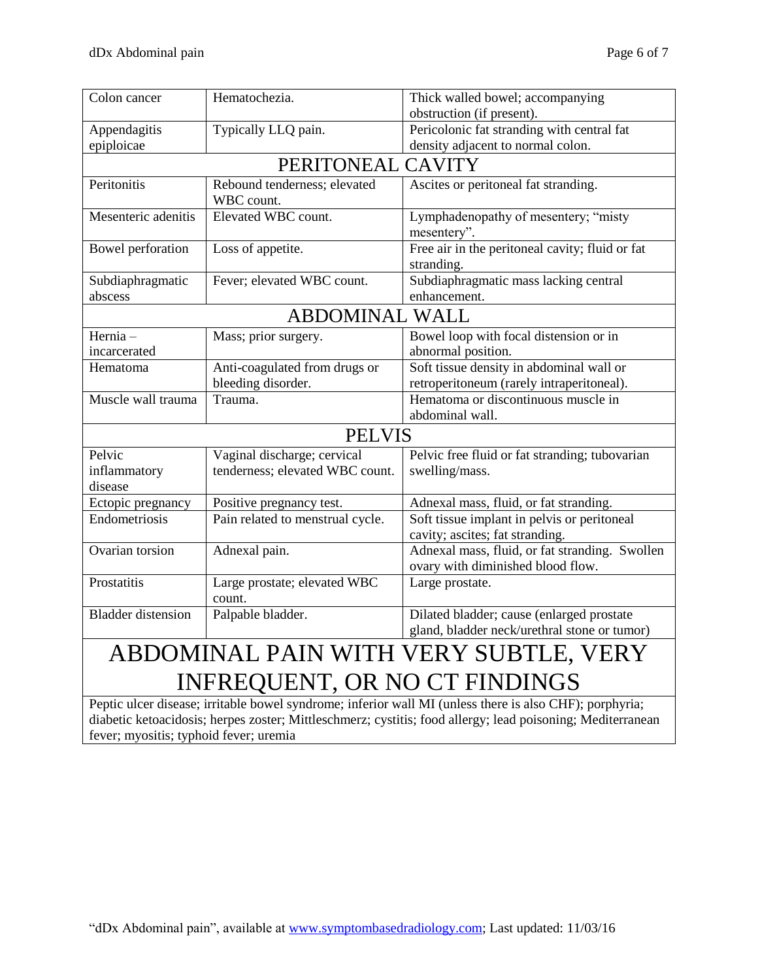| Colon cancer                                                                                                                                                                                                                                                                                                                                                         | Hematochezia.                              | Thick walled bowel; accompanying                                                          |  |  |  |  |
|----------------------------------------------------------------------------------------------------------------------------------------------------------------------------------------------------------------------------------------------------------------------------------------------------------------------------------------------------------------------|--------------------------------------------|-------------------------------------------------------------------------------------------|--|--|--|--|
|                                                                                                                                                                                                                                                                                                                                                                      |                                            | obstruction (if present).                                                                 |  |  |  |  |
| Appendagitis                                                                                                                                                                                                                                                                                                                                                         | Typically LLQ pain.                        | Pericolonic fat stranding with central fat                                                |  |  |  |  |
| epiploicae                                                                                                                                                                                                                                                                                                                                                           |                                            | density adjacent to normal colon.                                                         |  |  |  |  |
|                                                                                                                                                                                                                                                                                                                                                                      | PERITONEAL CAVITY                          |                                                                                           |  |  |  |  |
| Peritonitis                                                                                                                                                                                                                                                                                                                                                          | Rebound tenderness; elevated<br>WBC count. | Ascites or peritoneal fat stranding.                                                      |  |  |  |  |
| Mesenteric adenitis                                                                                                                                                                                                                                                                                                                                                  | Elevated WBC count.                        | Lymphadenopathy of mesentery; "misty<br>mesentery".                                       |  |  |  |  |
| Bowel perforation                                                                                                                                                                                                                                                                                                                                                    | Loss of appetite.                          | Free air in the peritoneal cavity; fluid or fat<br>stranding.                             |  |  |  |  |
| Subdiaphragmatic<br>abscess                                                                                                                                                                                                                                                                                                                                          | Fever; elevated WBC count.                 | Subdiaphragmatic mass lacking central<br>enhancement.                                     |  |  |  |  |
| <b>ABDOMINAL WALL</b>                                                                                                                                                                                                                                                                                                                                                |                                            |                                                                                           |  |  |  |  |
| Hernia-<br>incarcerated                                                                                                                                                                                                                                                                                                                                              | Mass; prior surgery.                       | Bowel loop with focal distension or in<br>abnormal position.                              |  |  |  |  |
| Hematoma                                                                                                                                                                                                                                                                                                                                                             | Anti-coagulated from drugs or              | Soft tissue density in abdominal wall or                                                  |  |  |  |  |
|                                                                                                                                                                                                                                                                                                                                                                      | bleeding disorder.                         | retroperitoneum (rarely intraperitoneal).                                                 |  |  |  |  |
| Muscle wall trauma                                                                                                                                                                                                                                                                                                                                                   | Trauma.                                    | Hematoma or discontinuous muscle in<br>abdominal wall.                                    |  |  |  |  |
|                                                                                                                                                                                                                                                                                                                                                                      | <b>PELVIS</b>                              |                                                                                           |  |  |  |  |
| Pelvic                                                                                                                                                                                                                                                                                                                                                               | Vaginal discharge; cervical                | Pelvic free fluid or fat stranding; tubovarian                                            |  |  |  |  |
| inflammatory<br>disease                                                                                                                                                                                                                                                                                                                                              | tenderness; elevated WBC count.            | swelling/mass.                                                                            |  |  |  |  |
| Ectopic pregnancy                                                                                                                                                                                                                                                                                                                                                    | Positive pregnancy test.                   | Adnexal mass, fluid, or fat stranding.                                                    |  |  |  |  |
| Endometriosis                                                                                                                                                                                                                                                                                                                                                        | Pain related to menstrual cycle.           | Soft tissue implant in pelvis or peritoneal<br>cavity; ascites; fat stranding.            |  |  |  |  |
| Ovarian torsion                                                                                                                                                                                                                                                                                                                                                      | Adnexal pain.                              | Adnexal mass, fluid, or fat stranding. Swollen<br>ovary with diminished blood flow.       |  |  |  |  |
| Prostatitis                                                                                                                                                                                                                                                                                                                                                          | Large prostate; elevated WBC<br>count.     | Large prostate.                                                                           |  |  |  |  |
| <b>Bladder</b> distension                                                                                                                                                                                                                                                                                                                                            | Palpable bladder.                          | Dilated bladder; cause (enlarged prostate<br>gland, bladder neck/urethral stone or tumor) |  |  |  |  |
| $\sum_{i=1}^{n} \sum_{i=1}^{n} \sum_{j=1}^{n} x_{ij} x_{ij} + \sum_{i=1}^{n} x_{ij} x_{ij} + \sum_{i=1}^{n} x_{ij} x_{ij} + \sum_{i=1}^{n} x_{ij} x_{ij} + \sum_{i=1}^{n} x_{ij} x_{ij} + \sum_{i=1}^{n} x_{ij} x_{ij} + \sum_{i=1}^{n} x_{ij} x_{ij} + \sum_{i=1}^{n} x_{ij} x_{ij} + \sum_{i=1}^{n} x_{ij} x_{ij} + \sum_{i=1}^{n} x_{ij} x_{ij} + \sum_{i=1}^{n}$ |                                            | DAILY TEMPLE EMPLEY OF TREE TO THREE                                                      |  |  |  |  |

## ABDOMINAL PAIN WITH VERY SUBTLE, VERY INFREQUENT, OR NO CT FINDINGS

Peptic ulcer disease; irritable bowel syndrome; inferior wall MI (unless there is also CHF); porphyria; diabetic ketoacidosis; herpes zoster; Mittleschmerz; cystitis; food allergy; lead poisoning; Mediterranean fever; myositis; typhoid fever; uremia